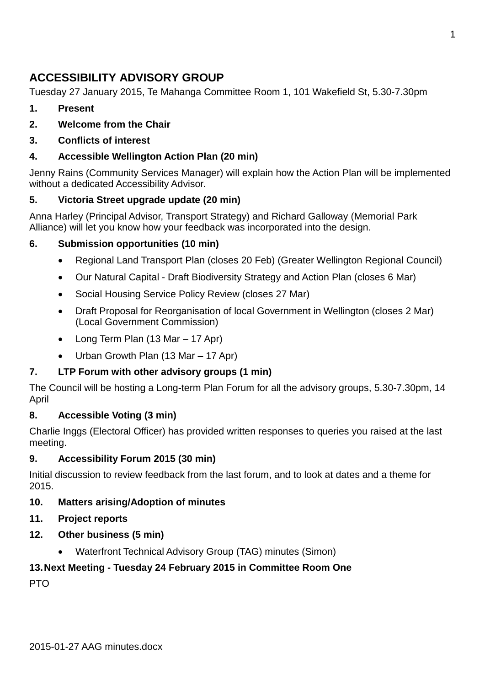## **ACCESSIBILITY ADVISORY GROUP**

Tuesday 27 January 2015, Te Mahanga Committee Room 1, 101 Wakefield St, 5.30-7.30pm

- **1. Present**
- **2. Welcome from the Chair**
- **3. Conflicts of interest**

#### **4. Accessible Wellington Action Plan (20 min)**

Jenny Rains (Community Services Manager) will explain how the Action Plan will be implemented without a dedicated Accessibility Advisor.

#### **5. Victoria Street upgrade update (20 min)**

Anna Harley (Principal Advisor, Transport Strategy) and Richard Galloway (Memorial Park Alliance) will let you know how your feedback was incorporated into the design.

#### **6. Submission opportunities (10 min)**

- Regional Land Transport Plan (closes 20 Feb) (Greater Wellington Regional Council)
- Our Natural Capital Draft Biodiversity Strategy and Action Plan (closes 6 Mar)
- Social Housing Service Policy Review (closes 27 Mar)
- Draft Proposal for Reorganisation of local Government in Wellington (closes 2 Mar) (Local Government Commission)
- Long Term Plan (13 Mar 17 Apr)
- Urban Growth Plan (13 Mar 17 Apr)

### **7. LTP Forum with other advisory groups (1 min)**

The Council will be hosting a Long-term Plan Forum for all the advisory groups, 5.30-7.30pm, 14 April

#### **8. Accessible Voting (3 min)**

Charlie Inggs (Electoral Officer) has provided written responses to queries you raised at the last meeting.

#### **9. Accessibility Forum 2015 (30 min)**

Initial discussion to review feedback from the last forum, and to look at dates and a theme for 2015.

#### **10. Matters arising/Adoption of minutes**

#### **11. Project reports**

- **12. Other business (5 min)**
	- Waterfront Technical Advisory Group (TAG) minutes (Simon)

### **13.Next Meeting - Tuesday 24 February 2015 in Committee Room One**

PTO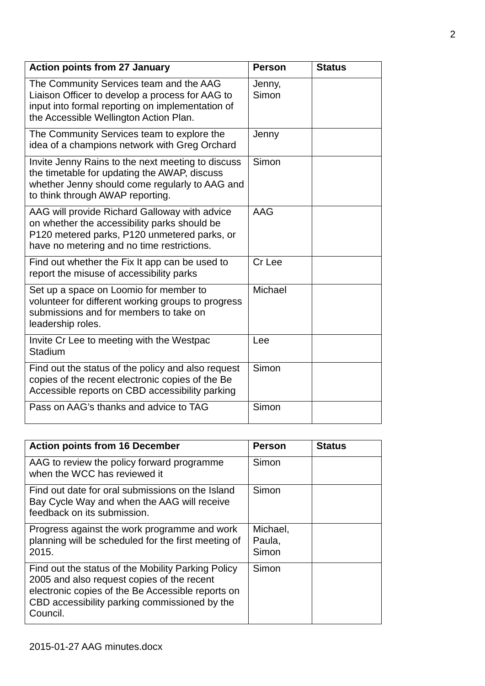| <b>Action points from 27 January</b>                                                                                                                                                        | <b>Person</b>   | <b>Status</b> |
|---------------------------------------------------------------------------------------------------------------------------------------------------------------------------------------------|-----------------|---------------|
| The Community Services team and the AAG<br>Liaison Officer to develop a process for AAG to<br>input into formal reporting on implementation of<br>the Accessible Wellington Action Plan.    | Jenny,<br>Simon |               |
| The Community Services team to explore the<br>idea of a champions network with Greg Orchard                                                                                                 | Jenny           |               |
| Invite Jenny Rains to the next meeting to discuss<br>the timetable for updating the AWAP, discuss<br>whether Jenny should come regularly to AAG and<br>to think through AWAP reporting.     | Simon           |               |
| AAG will provide Richard Galloway with advice<br>on whether the accessibility parks should be<br>P120 metered parks, P120 unmetered parks, or<br>have no metering and no time restrictions. | AAG             |               |
| Find out whether the Fix It app can be used to<br>report the misuse of accessibility parks                                                                                                  | Cr Lee          |               |
| Set up a space on Loomio for member to<br>volunteer for different working groups to progress<br>submissions and for members to take on<br>leadership roles.                                 | Michael         |               |
| Invite Cr Lee to meeting with the Westpac<br>Stadium                                                                                                                                        | Lee             |               |
| Find out the status of the policy and also request<br>copies of the recent electronic copies of the Be<br>Accessible reports on CBD accessibility parking                                   | Simon           |               |
| Pass on AAG's thanks and advice to TAG                                                                                                                                                      | Simon           |               |

| <b>Action points from 16 December</b>                                                                                                                                                                              | <b>Person</b>               | <b>Status</b> |
|--------------------------------------------------------------------------------------------------------------------------------------------------------------------------------------------------------------------|-----------------------------|---------------|
| AAG to review the policy forward programme<br>when the WCC has reviewed it                                                                                                                                         | Simon                       |               |
| Find out date for oral submissions on the Island<br>Bay Cycle Way and when the AAG will receive<br>feedback on its submission.                                                                                     | Simon                       |               |
| Progress against the work programme and work<br>planning will be scheduled for the first meeting of<br>2015.                                                                                                       | Michael,<br>Paula,<br>Simon |               |
| Find out the status of the Mobility Parking Policy<br>2005 and also request copies of the recent<br>electronic copies of the Be Accessible reports on<br>CBD accessibility parking commissioned by the<br>Council. | Simon                       |               |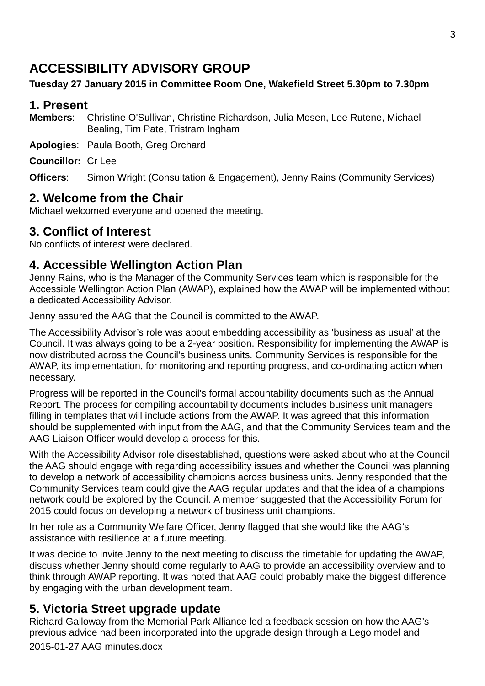# **ACCESSIBILITY ADVISORY GROUP**

### **Tuesday 27 January 2015 in Committee Room One, Wakefield Street 5.30pm to 7.30pm**

### **1. Present**

**Members**: Christine O'Sullivan, Christine Richardson, Julia Mosen, Lee Rutene, Michael Bealing, Tim Pate, Tristram Ingham

**Apologies**: Paula Booth, Greg Orchard

**Councillor:** Cr Lee

**Officers:** Simon Wright (Consultation & Engagement), Jenny Rains (Community Services)

## **2. Welcome from the Chair**

Michael welcomed everyone and opened the meeting.

## **3. Conflict of Interest**

No conflicts of interest were declared.

## **4. Accessible Wellington Action Plan**

Jenny Rains, who is the Manager of the Community Services team which is responsible for the Accessible Wellington Action Plan (AWAP), explained how the AWAP will be implemented without a dedicated Accessibility Advisor.

Jenny assured the AAG that the Council is committed to the AWAP.

The Accessibility Advisor's role was about embedding accessibility as 'business as usual' at the Council. It was always going to be a 2-year position. Responsibility for implementing the AWAP is now distributed across the Council's business units. Community Services is responsible for the AWAP, its implementation, for monitoring and reporting progress, and co-ordinating action when necessary.

Progress will be reported in the Council's formal accountability documents such as the Annual Report. The process for compiling accountability documents includes business unit managers filling in templates that will include actions from the AWAP. It was agreed that this information should be supplemented with input from the AAG, and that the Community Services team and the AAG Liaison Officer would develop a process for this.

With the Accessibility Advisor role disestablished, questions were asked about who at the Council the AAG should engage with regarding accessibility issues and whether the Council was planning to develop a network of accessibility champions across business units. Jenny responded that the Community Services team could give the AAG regular updates and that the idea of a champions network could be explored by the Council. A member suggested that the Accessibility Forum for 2015 could focus on developing a network of business unit champions.

In her role as a Community Welfare Officer, Jenny flagged that she would like the AAG's assistance with resilience at a future meeting.

It was decide to invite Jenny to the next meeting to discuss the timetable for updating the AWAP, discuss whether Jenny should come regularly to AAG to provide an accessibility overview and to think through AWAP reporting. It was noted that AAG could probably make the biggest difference by engaging with the urban development team.

## **5. Victoria Street upgrade update**

Richard Galloway from the Memorial Park Alliance led a feedback session on how the AAG's previous advice had been incorporated into the upgrade design through a Lego model and

2015-01-27 AAG minutes.docx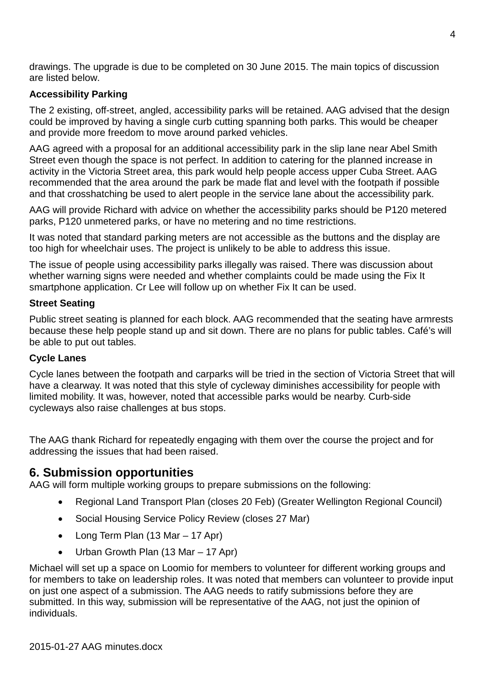drawings. The upgrade is due to be completed on 30 June 2015. The main topics of discussion are listed below.

#### **Accessibility Parking**

The 2 existing, off-street, angled, accessibility parks will be retained. AAG advised that the design could be improved by having a single curb cutting spanning both parks. This would be cheaper and provide more freedom to move around parked vehicles.

AAG agreed with a proposal for an additional accessibility park in the slip lane near Abel Smith Street even though the space is not perfect. In addition to catering for the planned increase in activity in the Victoria Street area, this park would help people access upper Cuba Street. AAG recommended that the area around the park be made flat and level with the footpath if possible and that crosshatching be used to alert people in the service lane about the accessibility park.

AAG will provide Richard with advice on whether the accessibility parks should be P120 metered parks, P120 unmetered parks, or have no metering and no time restrictions.

It was noted that standard parking meters are not accessible as the buttons and the display are too high for wheelchair uses. The project is unlikely to be able to address this issue.

The issue of people using accessibility parks illegally was raised. There was discussion about whether warning signs were needed and whether complaints could be made using the Fix It smartphone application. Cr Lee will follow up on whether Fix It can be used.

#### **Street Seating**

Public street seating is planned for each block. AAG recommended that the seating have armrests because these help people stand up and sit down. There are no plans for public tables. Café's will be able to put out tables.

#### **Cycle Lanes**

Cycle lanes between the footpath and carparks will be tried in the section of Victoria Street that will have a clearway. It was noted that this style of cycleway diminishes accessibility for people with limited mobility. It was, however, noted that accessible parks would be nearby. Curb-side cycleways also raise challenges at bus stops.

The AAG thank Richard for repeatedly engaging with them over the course the project and for addressing the issues that had been raised.

### **6. Submission opportunities**

AAG will form multiple working groups to prepare submissions on the following:

- Regional Land Transport Plan (closes 20 Feb) (Greater Wellington Regional Council)
- Social Housing Service Policy Review (closes 27 Mar)
- Long Term Plan (13 Mar 17 Apr)
- Urban Growth Plan (13 Mar 17 Apr)

Michael will set up a space on Loomio for members to volunteer for different working groups and for members to take on leadership roles. It was noted that members can volunteer to provide input on just one aspect of a submission. The AAG needs to ratify submissions before they are submitted. In this way, submission will be representative of the AAG, not just the opinion of individuals.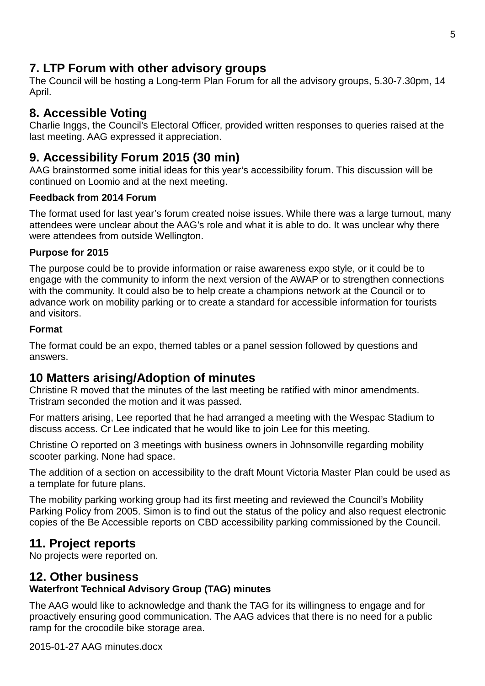## **7. LTP Forum with other advisory groups**

The Council will be hosting a Long-term Plan Forum for all the advisory groups, 5.30-7.30pm, 14 April.

## **8. Accessible Voting**

Charlie Inggs, the Council's Electoral Officer, provided written responses to queries raised at the last meeting. AAG expressed it appreciation.

## **9. Accessibility Forum 2015 (30 min)**

AAG brainstormed some initial ideas for this year's accessibility forum. This discussion will be continued on Loomio and at the next meeting.

#### **Feedback from 2014 Forum**

The format used for last year's forum created noise issues. While there was a large turnout, many attendees were unclear about the AAG's role and what it is able to do. It was unclear why there were attendees from outside Wellington.

#### **Purpose for 2015**

The purpose could be to provide information or raise awareness expo style, or it could be to engage with the community to inform the next version of the AWAP or to strengthen connections with the community. It could also be to help create a champions network at the Council or to advance work on mobility parking or to create a standard for accessible information for tourists and visitors.

#### **Format**

The format could be an expo, themed tables or a panel session followed by questions and answers.

## **10 Matters arising/Adoption of minutes**

Christine R moved that the minutes of the last meeting be ratified with minor amendments. Tristram seconded the motion and it was passed.

For matters arising, Lee reported that he had arranged a meeting with the Wespac Stadium to discuss access. Cr Lee indicated that he would like to join Lee for this meeting.

Christine O reported on 3 meetings with business owners in Johnsonville regarding mobility scooter parking. None had space.

The addition of a section on accessibility to the draft Mount Victoria Master Plan could be used as a template for future plans.

The mobility parking working group had its first meeting and reviewed the Council's Mobility Parking Policy from 2005. Simon is to find out the status of the policy and also request electronic copies of the Be Accessible reports on CBD accessibility parking commissioned by the Council.

### **11. Project reports**

No projects were reported on.

### **12. Other business**

### **Waterfront Technical Advisory Group (TAG) minutes**

The AAG would like to acknowledge and thank the TAG for its willingness to engage and for proactively ensuring good communication. The AAG advices that there is no need for a public ramp for the crocodile bike storage area.

2015-01-27 AAG minutes.docx